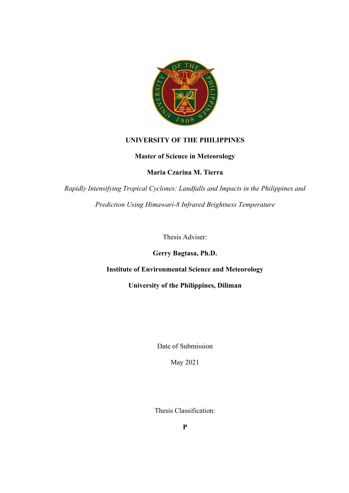

## **UNIVERSITY OF THE PHILIPPINES**

## **Master of Science in Meteorology**

**Maria Czarina M. Tierra**

*Rapidly Intensifying Tropical Cyclones: Landfalls and Impacts in the Philippines and Prediction Using Himawari-8 Infrared Brightness Temperature*

Thesis Adviser:

**Gerry Bagtasa, Ph.D.**

## **Institute of Environmental Science and Meteorology**

**University of the Philippines, Diliman**

Date of Submission

May 2021

Thesis Classification: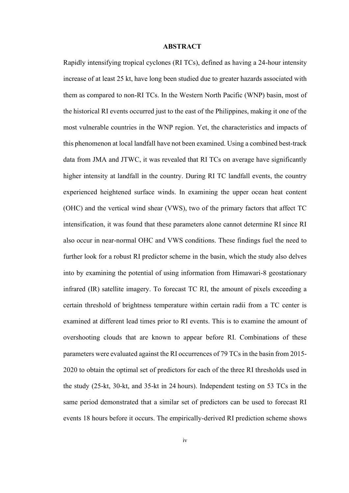## **ABSTRACT**

Rapidly intensifying tropical cyclones (RI TCs), defined as having a 24-hour intensity increase of at least 25 kt, have long been studied due to greater hazards associated with them as compared to non-RI TCs. In the Western North Pacific (WNP) basin, most of the historical RI events occurred just to the east of the Philippines, making it one of the most vulnerable countries in the WNP region. Yet, the characteristics and impacts of this phenomenon at local landfall have not been examined. Using a combined best-track data from JMA and JTWC, it was revealed that RI TCs on average have significantly higher intensity at landfall in the country. During RI TC landfall events, the country experienced heightened surface winds. In examining the upper ocean heat content (OHC) and the vertical wind shear (VWS), two of the primary factors that affect TC intensification, it was found that these parameters alone cannot determine RI since RI also occur in near-normal OHC and VWS conditions. These findings fuel the need to further look for a robust RI predictor scheme in the basin, which the study also delves into by examining the potential of using information from Himawari-8 geostationary infrared (IR) satellite imagery. To forecast TC RI, the amount of pixels exceeding a certain threshold of brightness temperature within certain radii from a TC center is examined at different lead times prior to RI events. This is to examine the amount of overshooting clouds that are known to appear before RI. Combinations of these parameters were evaluated against the RI occurrences of 79 TCs in the basin from 2015- 2020 to obtain the optimal set of predictors for each of the three RI thresholds used in the study (25-kt, 30-kt, and 35-kt in 24 hours). Independent testing on 53 TCs in the same period demonstrated that a similar set of predictors can be used to forecast RI events 18 hours before it occurs. The empirically-derived RI prediction scheme shows